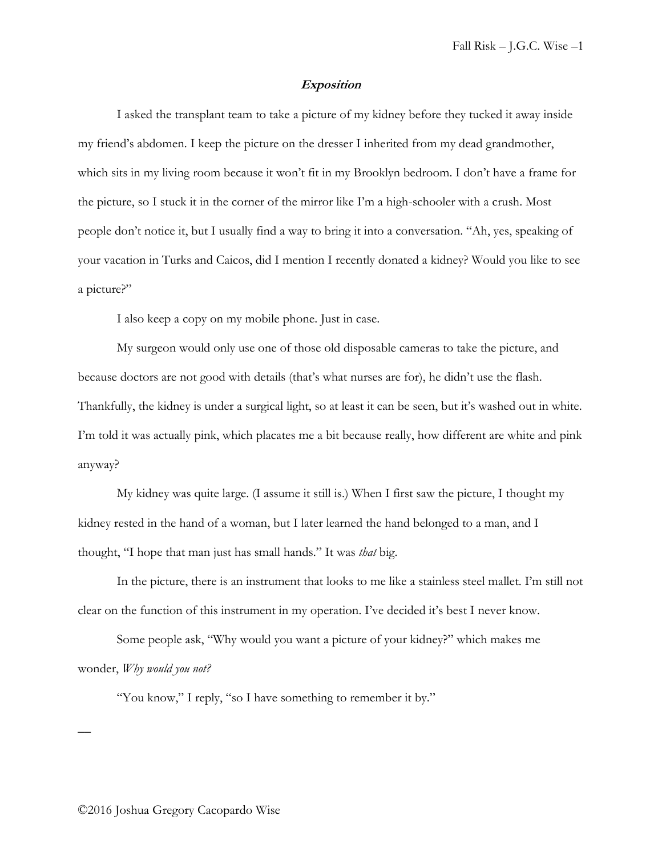## **Exposition**

I asked the transplant team to take a picture of my kidney before they tucked it away inside my friend's abdomen. I keep the picture on the dresser I inherited from my dead grandmother, which sits in my living room because it won't fit in my Brooklyn bedroom. I don't have a frame for the picture, so I stuck it in the corner of the mirror like I'm a high-schooler with a crush. Most people don't notice it, but I usually find a way to bring it into a conversation. "Ah, yes, speaking of your vacation in Turks and Caicos, did I mention I recently donated a kidney? Would you like to see a picture?"

I also keep a copy on my mobile phone. Just in case.

My surgeon would only use one of those old disposable cameras to take the picture, and because doctors are not good with details (that's what nurses are for), he didn't use the flash. Thankfully, the kidney is under a surgical light, so at least it can be seen, but it's washed out in white. I'm told it was actually pink, which placates me a bit because really, how different are white and pink anyway?

My kidney was quite large. (I assume it still is.) When I first saw the picture, I thought my kidney rested in the hand of a woman, but I later learned the hand belonged to a man, and I thought, "I hope that man just has small hands." It was *that* big.

In the picture, there is an instrument that looks to me like a stainless steel mallet. I'm still not clear on the function of this instrument in my operation. I've decided it's best I never know.

Some people ask, "Why would you want a picture of your kidney?" which makes me wonder, *Why would you not?*

"You know," I reply, "so I have something to remember it by."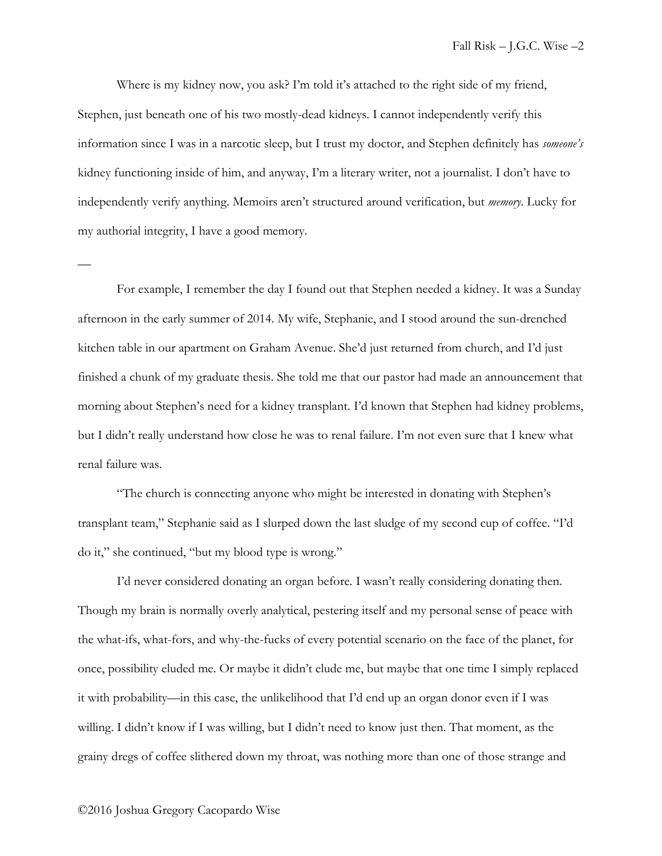Where is my kidney now, you ask? I'm told it's attached to the right side of my friend, Stephen, just beneath one of his two mostly-dead kidneys. I cannot independently verify this information since I was in a narcotic sleep, but I trust my doctor, and Stephen definitely has *someone's* kidney functioning inside of him, and anyway, I'm a literary writer, not a journalist. I don't have to independently verify anything. Memoirs aren't structured around verification, but *memory*. Lucky for my authorial integrity, I have a good memory.

For example, I remember the day I found out that Stephen needed a kidney. It was a Sunday afternoon in the early summer of 2014. My wife, Stephanie, and I stood around the sun-drenched kitchen table in our apartment on Graham Avenue. She'd just returned from church, and I'd just finished a chunk of my graduate thesis. She told me that our pastor had made an announcement that morning about Stephen's need for a kidney transplant. I'd known that Stephen had kidney problems, but I didn't really understand how close he was to renal failure. I'm not even sure that I knew what renal failure was.

"The church is connecting anyone who might be interested in donating with Stephen's transplant team," Stephanie said as I slurped down the last sludge of my second cup of coffee. "I'd do it," she continued, "but my blood type is wrong."

I'd never considered donating an organ before. I wasn't really considering donating then. Though my brain is normally overly analytical, pestering itself and my personal sense of peace with the what-ifs, what-fors, and why-the-fucks of every potential scenario on the face of the planet, for once, possibility eluded me. Or maybe it didn't elude me, but maybe that one time I simply replaced it with probability—in this case, the unlikelihood that I'd end up an organ donor even if I was willing. I didn't know if I was willing, but I didn't need to know just then. That moment, as the grainy dregs of coffee slithered down my throat, was nothing more than one of those strange and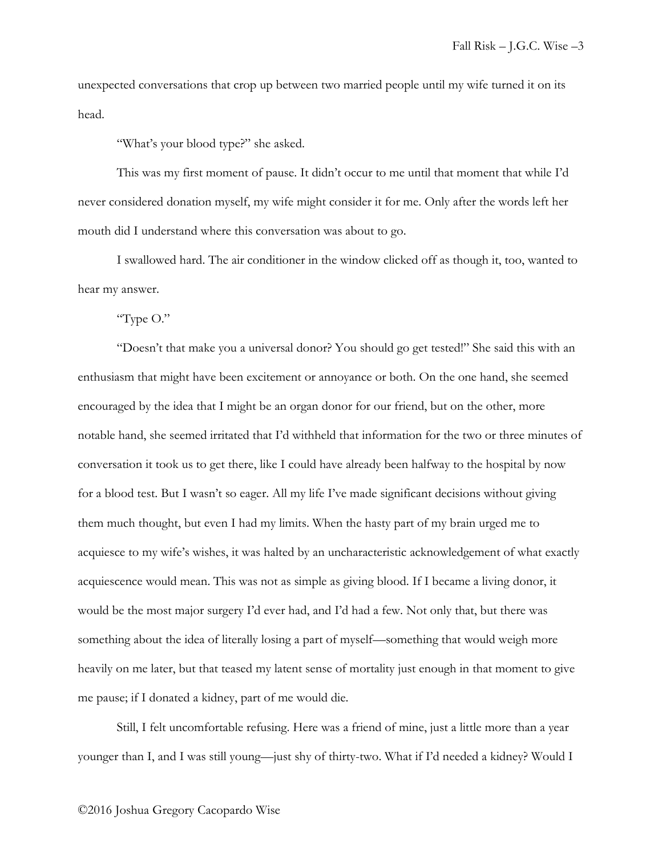unexpected conversations that crop up between two married people until my wife turned it on its head.

"What's your blood type?" she asked.

This was my first moment of pause. It didn't occur to me until that moment that while I'd never considered donation myself, my wife might consider it for me. Only after the words left her mouth did I understand where this conversation was about to go.

I swallowed hard. The air conditioner in the window clicked off as though it, too, wanted to hear my answer.

"Type O."

"Doesn't that make you a universal donor? You should go get tested!" She said this with an enthusiasm that might have been excitement or annoyance or both. On the one hand, she seemed encouraged by the idea that I might be an organ donor for our friend, but on the other, more notable hand, she seemed irritated that I'd withheld that information for the two or three minutes of conversation it took us to get there, like I could have already been halfway to the hospital by now for a blood test. But I wasn't so eager. All my life I've made significant decisions without giving them much thought, but even I had my limits. When the hasty part of my brain urged me to acquiesce to my wife's wishes, it was halted by an uncharacteristic acknowledgement of what exactly acquiescence would mean. This was not as simple as giving blood. If I became a living donor, it would be the most major surgery I'd ever had, and I'd had a few. Not only that, but there was something about the idea of literally losing a part of myself—something that would weigh more heavily on me later, but that teased my latent sense of mortality just enough in that moment to give me pause; if I donated a kidney, part of me would die.

Still, I felt uncomfortable refusing. Here was a friend of mine, just a little more than a year younger than I, and I was still young—just shy of thirty-two. What if I'd needed a kidney? Would I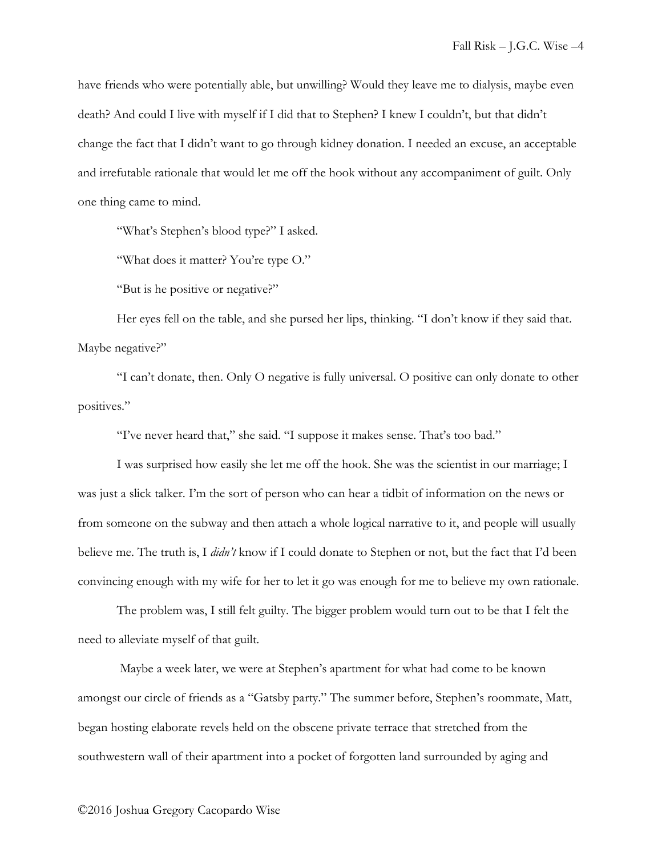have friends who were potentially able, but unwilling? Would they leave me to dialysis, maybe even death? And could I live with myself if I did that to Stephen? I knew I couldn't, but that didn't change the fact that I didn't want to go through kidney donation. I needed an excuse, an acceptable and irrefutable rationale that would let me off the hook without any accompaniment of guilt. Only one thing came to mind.

"What's Stephen's blood type?" I asked.

"What does it matter? You're type O."

"But is he positive or negative?"

Her eyes fell on the table, and she pursed her lips, thinking. "I don't know if they said that. Maybe negative?"

"I can't donate, then. Only O negative is fully universal. O positive can only donate to other positives."

"I've never heard that," she said. "I suppose it makes sense. That's too bad."

I was surprised how easily she let me off the hook. She was the scientist in our marriage; I was just a slick talker. I'm the sort of person who can hear a tidbit of information on the news or from someone on the subway and then attach a whole logical narrative to it, and people will usually believe me. The truth is, I *didn't* know if I could donate to Stephen or not, but the fact that I'd been convincing enough with my wife for her to let it go was enough for me to believe my own rationale.

The problem was, I still felt guilty. The bigger problem would turn out to be that I felt the need to alleviate myself of that guilt.

Maybe a week later, we were at Stephen's apartment for what had come to be known amongst our circle of friends as a "Gatsby party." The summer before, Stephen's roommate, Matt, began hosting elaborate revels held on the obscene private terrace that stretched from the southwestern wall of their apartment into a pocket of forgotten land surrounded by aging and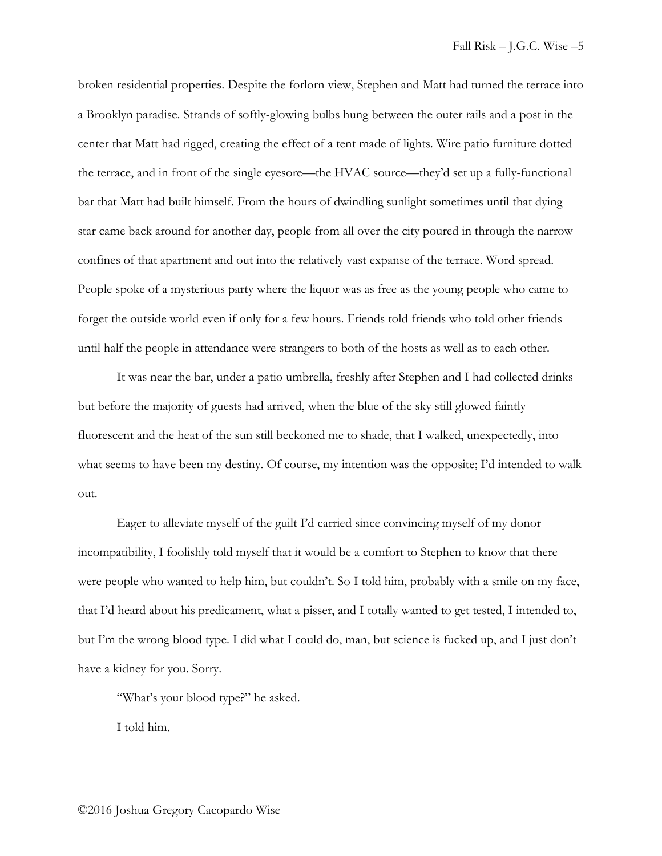broken residential properties. Despite the forlorn view, Stephen and Matt had turned the terrace into a Brooklyn paradise. Strands of softly-glowing bulbs hung between the outer rails and a post in the center that Matt had rigged, creating the effect of a tent made of lights. Wire patio furniture dotted the terrace, and in front of the single eyesore—the HVAC source—they'd set up a fully-functional bar that Matt had built himself. From the hours of dwindling sunlight sometimes until that dying star came back around for another day, people from all over the city poured in through the narrow confines of that apartment and out into the relatively vast expanse of the terrace. Word spread. People spoke of a mysterious party where the liquor was as free as the young people who came to forget the outside world even if only for a few hours. Friends told friends who told other friends until half the people in attendance were strangers to both of the hosts as well as to each other.

It was near the bar, under a patio umbrella, freshly after Stephen and I had collected drinks but before the majority of guests had arrived, when the blue of the sky still glowed faintly fluorescent and the heat of the sun still beckoned me to shade, that I walked, unexpectedly, into what seems to have been my destiny. Of course, my intention was the opposite; I'd intended to walk out.

Eager to alleviate myself of the guilt I'd carried since convincing myself of my donor incompatibility, I foolishly told myself that it would be a comfort to Stephen to know that there were people who wanted to help him, but couldn't. So I told him, probably with a smile on my face, that I'd heard about his predicament, what a pisser, and I totally wanted to get tested, I intended to, but I'm the wrong blood type. I did what I could do, man, but science is fucked up, and I just don't have a kidney for you. Sorry.

"What's your blood type?" he asked.

I told him.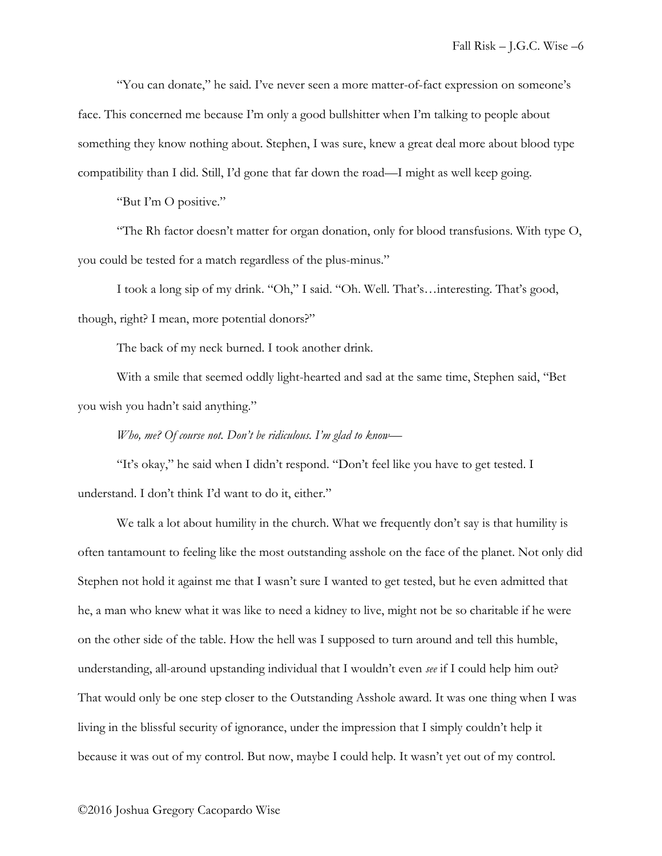"You can donate," he said. I've never seen a more matter-of-fact expression on someone's face. This concerned me because I'm only a good bullshitter when I'm talking to people about something they know nothing about. Stephen, I was sure, knew a great deal more about blood type compatibility than I did. Still, I'd gone that far down the road—I might as well keep going.

"But I'm O positive."

"The Rh factor doesn't matter for organ donation, only for blood transfusions. With type O, you could be tested for a match regardless of the plus-minus."

I took a long sip of my drink. "Oh," I said. "Oh. Well. That's…interesting. That's good, though, right? I mean, more potential donors?"

The back of my neck burned. I took another drink.

With a smile that seemed oddly light-hearted and sad at the same time, Stephen said, "Bet you wish you hadn't said anything."

## *Who, me? Of course not. Don't be ridiculous. I'm glad to know—*

"It's okay," he said when I didn't respond. "Don't feel like you have to get tested. I understand. I don't think I'd want to do it, either."

We talk a lot about humility in the church. What we frequently don't say is that humility is often tantamount to feeling like the most outstanding asshole on the face of the planet. Not only did Stephen not hold it against me that I wasn't sure I wanted to get tested, but he even admitted that he, a man who knew what it was like to need a kidney to live, might not be so charitable if he were on the other side of the table. How the hell was I supposed to turn around and tell this humble, understanding, all-around upstanding individual that I wouldn't even *see* if I could help him out? That would only be one step closer to the Outstanding Asshole award. It was one thing when I was living in the blissful security of ignorance, under the impression that I simply couldn't help it because it was out of my control. But now, maybe I could help. It wasn't yet out of my control.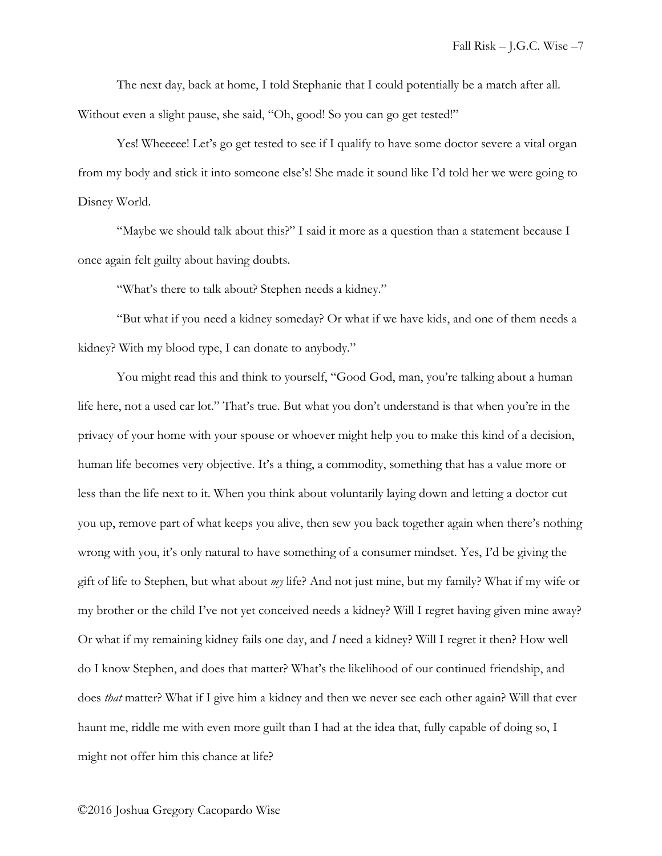The next day, back at home, I told Stephanie that I could potentially be a match after all. Without even a slight pause, she said, "Oh, good! So you can go get tested!"

Yes! Wheeeee! Let's go get tested to see if I qualify to have some doctor severe a vital organ from my body and stick it into someone else's! She made it sound like I'd told her we were going to Disney World.

"Maybe we should talk about this?" I said it more as a question than a statement because I once again felt guilty about having doubts.

"What's there to talk about? Stephen needs a kidney."

"But what if you need a kidney someday? Or what if we have kids, and one of them needs a kidney? With my blood type, I can donate to anybody."

You might read this and think to yourself, "Good God, man, you're talking about a human life here, not a used car lot." That's true. But what you don't understand is that when you're in the privacy of your home with your spouse or whoever might help you to make this kind of a decision, human life becomes very objective. It's a thing, a commodity, something that has a value more or less than the life next to it. When you think about voluntarily laying down and letting a doctor cut you up, remove part of what keeps you alive, then sew you back together again when there's nothing wrong with you, it's only natural to have something of a consumer mindset. Yes, I'd be giving the gift of life to Stephen, but what about *my* life? And not just mine, but my family? What if my wife or my brother or the child I've not yet conceived needs a kidney? Will I regret having given mine away? Or what if my remaining kidney fails one day, and *I* need a kidney? Will I regret it then? How well do I know Stephen, and does that matter? What's the likelihood of our continued friendship, and does *that* matter? What if I give him a kidney and then we never see each other again? Will that ever haunt me, riddle me with even more guilt than I had at the idea that, fully capable of doing so, I might not offer him this chance at life?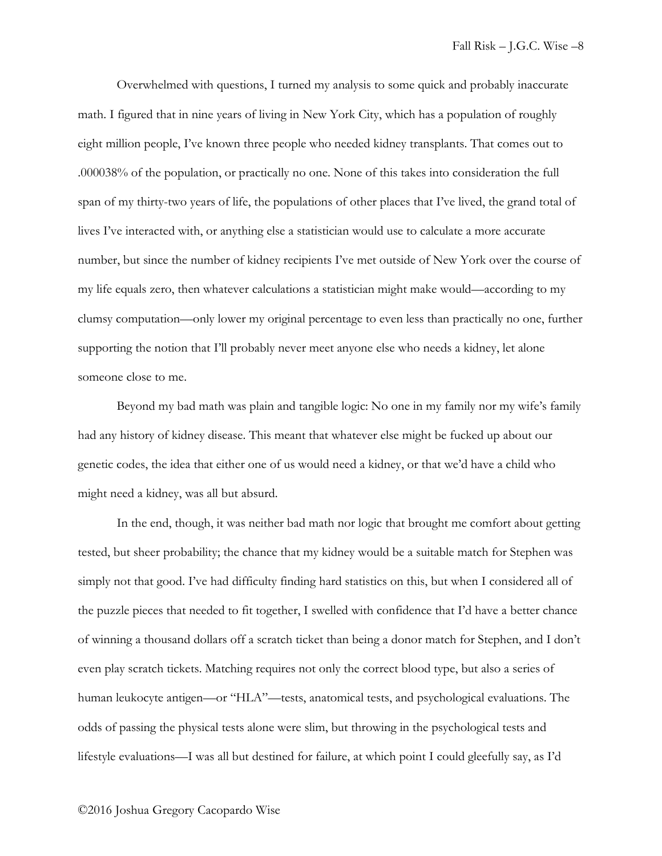Overwhelmed with questions, I turned my analysis to some quick and probably inaccurate math. I figured that in nine years of living in New York City, which has a population of roughly eight million people, I've known three people who needed kidney transplants. That comes out to .000038% of the population, or practically no one. None of this takes into consideration the full span of my thirty-two years of life, the populations of other places that I've lived, the grand total of lives I've interacted with, or anything else a statistician would use to calculate a more accurate number, but since the number of kidney recipients I've met outside of New York over the course of my life equals zero, then whatever calculations a statistician might make would—according to my clumsy computation—only lower my original percentage to even less than practically no one, further supporting the notion that I'll probably never meet anyone else who needs a kidney, let alone someone close to me.

Beyond my bad math was plain and tangible logic: No one in my family nor my wife's family had any history of kidney disease. This meant that whatever else might be fucked up about our genetic codes, the idea that either one of us would need a kidney, or that we'd have a child who might need a kidney, was all but absurd.

In the end, though, it was neither bad math nor logic that brought me comfort about getting tested, but sheer probability; the chance that my kidney would be a suitable match for Stephen was simply not that good. I've had difficulty finding hard statistics on this, but when I considered all of the puzzle pieces that needed to fit together, I swelled with confidence that I'd have a better chance of winning a thousand dollars off a scratch ticket than being a donor match for Stephen, and I don't even play scratch tickets. Matching requires not only the correct blood type, but also a series of human leukocyte antigen—or "HLA"—tests, anatomical tests, and psychological evaluations. The odds of passing the physical tests alone were slim, but throwing in the psychological tests and lifestyle evaluations—I was all but destined for failure, at which point I could gleefully say, as I'd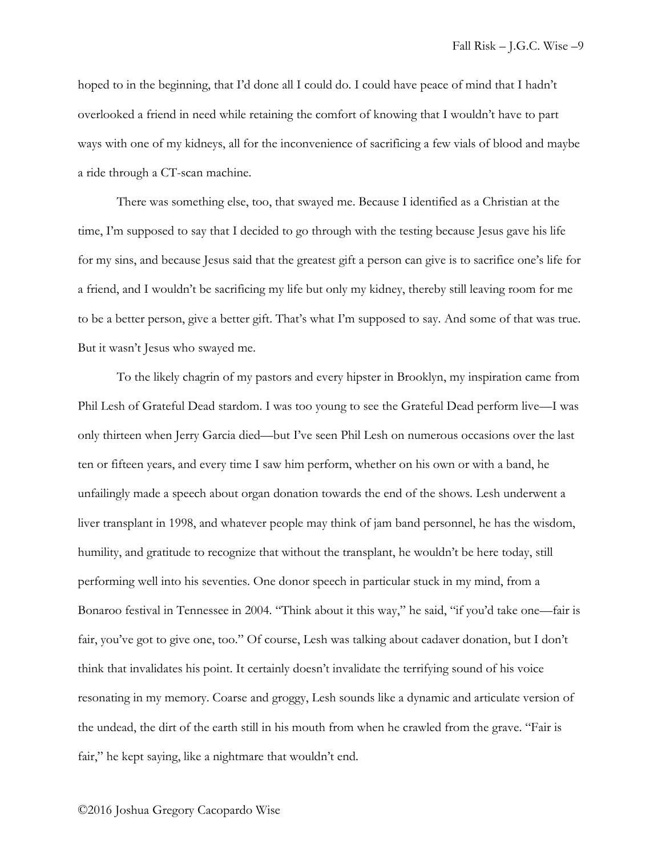hoped to in the beginning, that I'd done all I could do. I could have peace of mind that I hadn't overlooked a friend in need while retaining the comfort of knowing that I wouldn't have to part ways with one of my kidneys, all for the inconvenience of sacrificing a few vials of blood and maybe a ride through a CT-scan machine.

There was something else, too, that swayed me. Because I identified as a Christian at the time, I'm supposed to say that I decided to go through with the testing because Jesus gave his life for my sins, and because Jesus said that the greatest gift a person can give is to sacrifice one's life for a friend, and I wouldn't be sacrificing my life but only my kidney, thereby still leaving room for me to be a better person, give a better gift. That's what I'm supposed to say. And some of that was true. But it wasn't Jesus who swayed me.

To the likely chagrin of my pastors and every hipster in Brooklyn, my inspiration came from Phil Lesh of Grateful Dead stardom. I was too young to see the Grateful Dead perform live—I was only thirteen when Jerry Garcia died—but I've seen Phil Lesh on numerous occasions over the last ten or fifteen years, and every time I saw him perform, whether on his own or with a band, he unfailingly made a speech about organ donation towards the end of the shows. Lesh underwent a liver transplant in 1998, and whatever people may think of jam band personnel, he has the wisdom, humility, and gratitude to recognize that without the transplant, he wouldn't be here today, still performing well into his seventies. One donor speech in particular stuck in my mind, from a Bonaroo festival in Tennessee in 2004. "Think about it this way," he said, "if you'd take one—fair is fair, you've got to give one, too." Of course, Lesh was talking about cadaver donation, but I don't think that invalidates his point. It certainly doesn't invalidate the terrifying sound of his voice resonating in my memory. Coarse and groggy, Lesh sounds like a dynamic and articulate version of the undead, the dirt of the earth still in his mouth from when he crawled from the grave. "Fair is fair," he kept saying, like a nightmare that wouldn't end.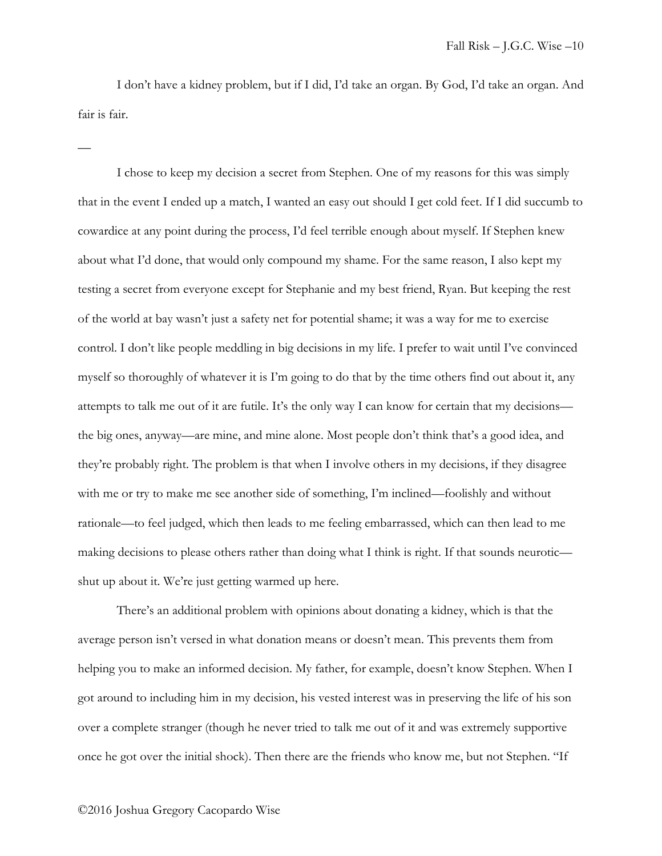I don't have a kidney problem, but if I did, I'd take an organ. By God, I'd take an organ. And fair is fair.

I chose to keep my decision a secret from Stephen. One of my reasons for this was simply that in the event I ended up a match, I wanted an easy out should I get cold feet. If I did succumb to cowardice at any point during the process, I'd feel terrible enough about myself. If Stephen knew about what I'd done, that would only compound my shame. For the same reason, I also kept my testing a secret from everyone except for Stephanie and my best friend, Ryan. But keeping the rest of the world at bay wasn't just a safety net for potential shame; it was a way for me to exercise control. I don't like people meddling in big decisions in my life. I prefer to wait until I've convinced myself so thoroughly of whatever it is I'm going to do that by the time others find out about it, any attempts to talk me out of it are futile. It's the only way I can know for certain that my decisions the big ones, anyway—are mine, and mine alone. Most people don't think that's a good idea, and they're probably right. The problem is that when I involve others in my decisions, if they disagree with me or try to make me see another side of something, I'm inclined—foolishly and without rationale—to feel judged, which then leads to me feeling embarrassed, which can then lead to me making decisions to please others rather than doing what I think is right. If that sounds neurotic shut up about it. We're just getting warmed up here.

There's an additional problem with opinions about donating a kidney, which is that the average person isn't versed in what donation means or doesn't mean. This prevents them from helping you to make an informed decision. My father, for example, doesn't know Stephen. When I got around to including him in my decision, his vested interest was in preserving the life of his son over a complete stranger (though he never tried to talk me out of it and was extremely supportive once he got over the initial shock). Then there are the friends who know me, but not Stephen. "If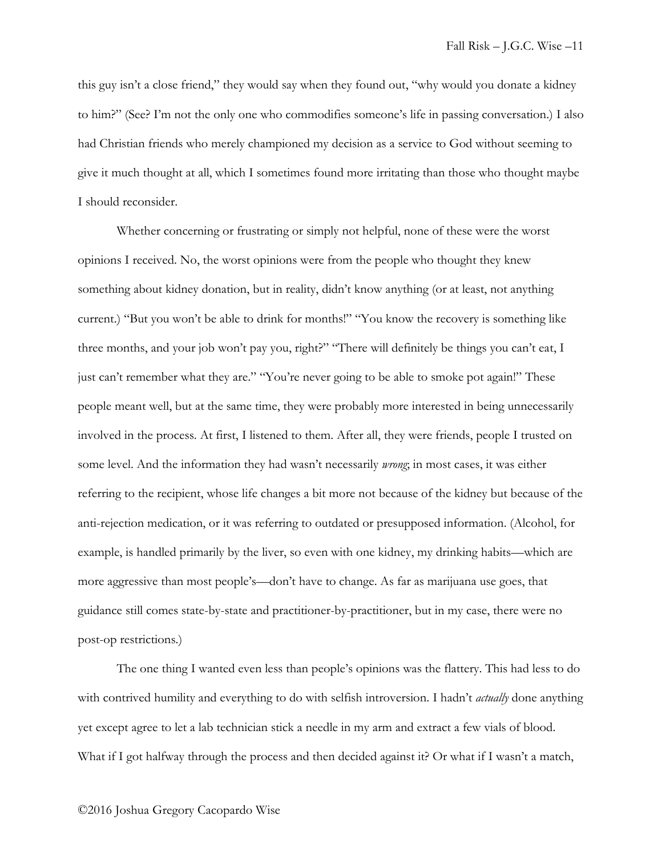this guy isn't a close friend," they would say when they found out, "why would you donate a kidney to him?" (See? I'm not the only one who commodifies someone's life in passing conversation.) I also had Christian friends who merely championed my decision as a service to God without seeming to give it much thought at all, which I sometimes found more irritating than those who thought maybe I should reconsider.

Whether concerning or frustrating or simply not helpful, none of these were the worst opinions I received. No, the worst opinions were from the people who thought they knew something about kidney donation, but in reality, didn't know anything (or at least, not anything current.) "But you won't be able to drink for months!" "You know the recovery is something like three months, and your job won't pay you, right?" "There will definitely be things you can't eat, I just can't remember what they are." "You're never going to be able to smoke pot again!" These people meant well, but at the same time, they were probably more interested in being unnecessarily involved in the process. At first, I listened to them. After all, they were friends, people I trusted on some level. And the information they had wasn't necessarily *wrong*; in most cases, it was either referring to the recipient, whose life changes a bit more not because of the kidney but because of the anti-rejection medication, or it was referring to outdated or presupposed information. (Alcohol, for example, is handled primarily by the liver, so even with one kidney, my drinking habits—which are more aggressive than most people's—don't have to change. As far as marijuana use goes, that guidance still comes state-by-state and practitioner-by-practitioner, but in my case, there were no post-op restrictions.)

The one thing I wanted even less than people's opinions was the flattery. This had less to do with contrived humility and everything to do with selfish introversion. I hadn't *actually* done anything yet except agree to let a lab technician stick a needle in my arm and extract a few vials of blood. What if I got halfway through the process and then decided against it? Or what if I wasn't a match,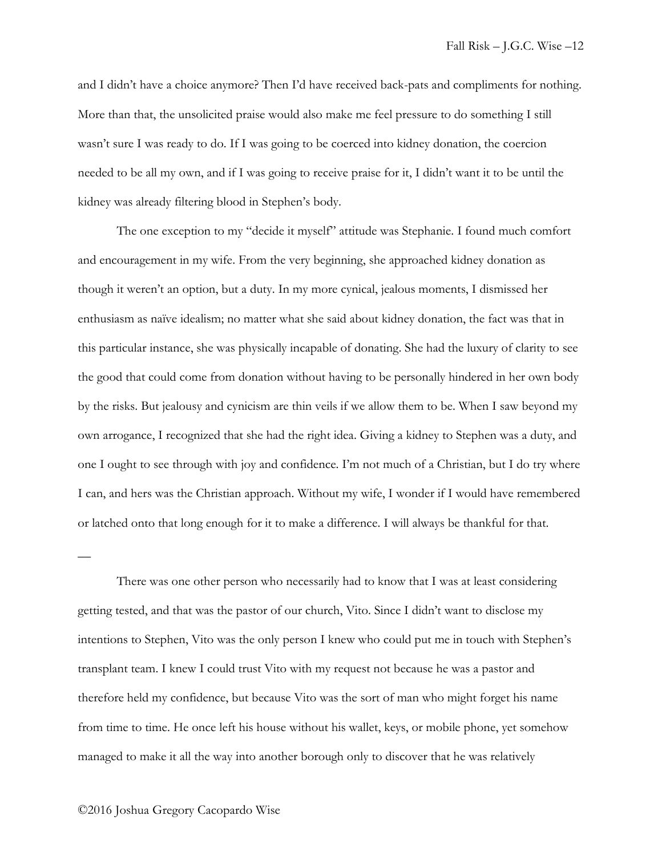and I didn't have a choice anymore? Then I'd have received back-pats and compliments for nothing. More than that, the unsolicited praise would also make me feel pressure to do something I still wasn't sure I was ready to do. If I was going to be coerced into kidney donation, the coercion needed to be all my own, and if I was going to receive praise for it, I didn't want it to be until the kidney was already filtering blood in Stephen's body.

The one exception to my "decide it myself" attitude was Stephanie. I found much comfort and encouragement in my wife. From the very beginning, she approached kidney donation as though it weren't an option, but a duty. In my more cynical, jealous moments, I dismissed her enthusiasm as naïve idealism; no matter what she said about kidney donation, the fact was that in this particular instance, she was physically incapable of donating. She had the luxury of clarity to see the good that could come from donation without having to be personally hindered in her own body by the risks. But jealousy and cynicism are thin veils if we allow them to be. When I saw beyond my own arrogance, I recognized that she had the right idea. Giving a kidney to Stephen was a duty, and one I ought to see through with joy and confidence. I'm not much of a Christian, but I do try where I can, and hers was the Christian approach. Without my wife, I wonder if I would have remembered or latched onto that long enough for it to make a difference. I will always be thankful for that.

There was one other person who necessarily had to know that I was at least considering getting tested, and that was the pastor of our church, Vito. Since I didn't want to disclose my intentions to Stephen, Vito was the only person I knew who could put me in touch with Stephen's transplant team. I knew I could trust Vito with my request not because he was a pastor and therefore held my confidence, but because Vito was the sort of man who might forget his name from time to time. He once left his house without his wallet, keys, or mobile phone, yet somehow managed to make it all the way into another borough only to discover that he was relatively

## ©2016 Joshua Gregory Cacopardo Wise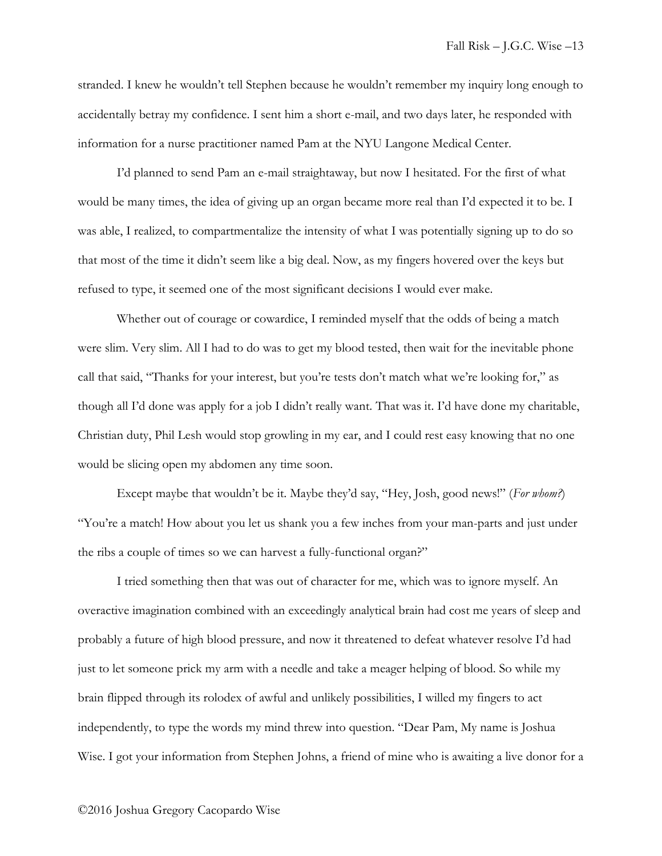stranded. I knew he wouldn't tell Stephen because he wouldn't remember my inquiry long enough to accidentally betray my confidence. I sent him a short e-mail, and two days later, he responded with information for a nurse practitioner named Pam at the NYU Langone Medical Center.

I'd planned to send Pam an e-mail straightaway, but now I hesitated. For the first of what would be many times, the idea of giving up an organ became more real than I'd expected it to be. I was able, I realized, to compartmentalize the intensity of what I was potentially signing up to do so that most of the time it didn't seem like a big deal. Now, as my fingers hovered over the keys but refused to type, it seemed one of the most significant decisions I would ever make.

Whether out of courage or cowardice, I reminded myself that the odds of being a match were slim. Very slim. All I had to do was to get my blood tested, then wait for the inevitable phone call that said, "Thanks for your interest, but you're tests don't match what we're looking for," as though all I'd done was apply for a job I didn't really want. That was it. I'd have done my charitable, Christian duty, Phil Lesh would stop growling in my ear, and I could rest easy knowing that no one would be slicing open my abdomen any time soon.

Except maybe that wouldn't be it. Maybe they'd say, "Hey, Josh, good news!" (*For whom?*) "You're a match! How about you let us shank you a few inches from your man-parts and just under the ribs a couple of times so we can harvest a fully-functional organ?"

I tried something then that was out of character for me, which was to ignore myself. An overactive imagination combined with an exceedingly analytical brain had cost me years of sleep and probably a future of high blood pressure, and now it threatened to defeat whatever resolve I'd had just to let someone prick my arm with a needle and take a meager helping of blood. So while my brain flipped through its rolodex of awful and unlikely possibilities, I willed my fingers to act independently, to type the words my mind threw into question. "Dear Pam, My name is Joshua Wise. I got your information from Stephen Johns, a friend of mine who is awaiting a live donor for a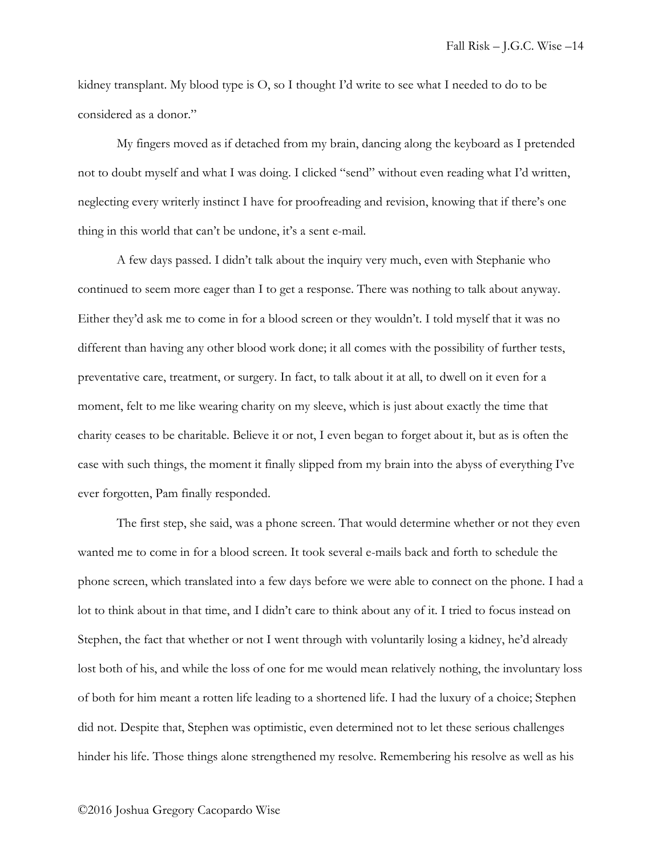kidney transplant. My blood type is O, so I thought I'd write to see what I needed to do to be considered as a donor."

My fingers moved as if detached from my brain, dancing along the keyboard as I pretended not to doubt myself and what I was doing. I clicked "send" without even reading what I'd written, neglecting every writerly instinct I have for proofreading and revision, knowing that if there's one thing in this world that can't be undone, it's a sent e-mail.

A few days passed. I didn't talk about the inquiry very much, even with Stephanie who continued to seem more eager than I to get a response. There was nothing to talk about anyway. Either they'd ask me to come in for a blood screen or they wouldn't. I told myself that it was no different than having any other blood work done; it all comes with the possibility of further tests, preventative care, treatment, or surgery. In fact, to talk about it at all, to dwell on it even for a moment, felt to me like wearing charity on my sleeve, which is just about exactly the time that charity ceases to be charitable. Believe it or not, I even began to forget about it, but as is often the case with such things, the moment it finally slipped from my brain into the abyss of everything I've ever forgotten, Pam finally responded.

The first step, she said, was a phone screen. That would determine whether or not they even wanted me to come in for a blood screen. It took several e-mails back and forth to schedule the phone screen, which translated into a few days before we were able to connect on the phone. I had a lot to think about in that time, and I didn't care to think about any of it. I tried to focus instead on Stephen, the fact that whether or not I went through with voluntarily losing a kidney, he'd already lost both of his, and while the loss of one for me would mean relatively nothing, the involuntary loss of both for him meant a rotten life leading to a shortened life. I had the luxury of a choice; Stephen did not. Despite that, Stephen was optimistic, even determined not to let these serious challenges hinder his life. Those things alone strengthened my resolve. Remembering his resolve as well as his